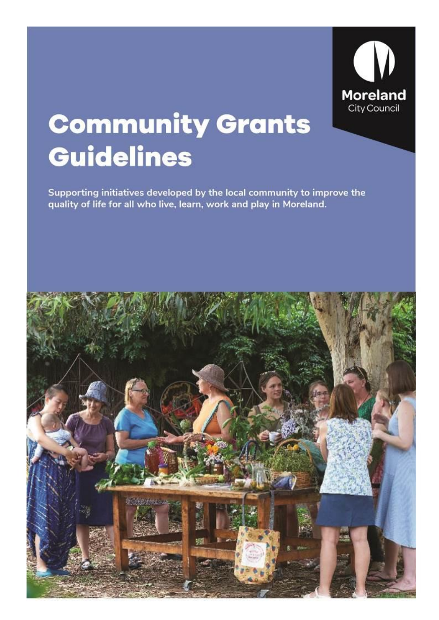

# **Community Grants Guidelines**

Supporting initiatives developed by the local community to improve the quality of life for all who live, learn, work and play in Moreland.

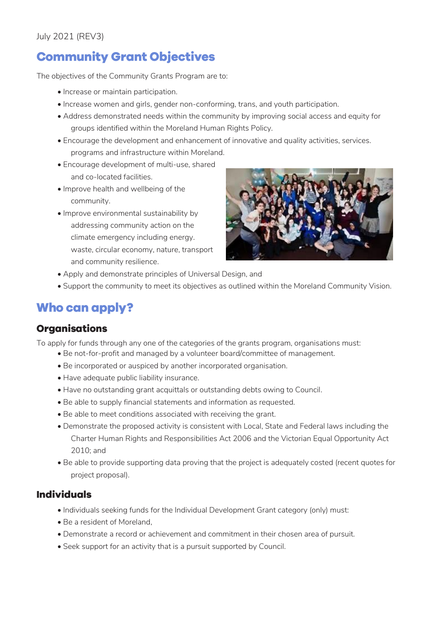# **Community Grant Objectives**

The objectives of the Community Grants Program are to:

- Increase or maintain participation.
- Increase women and girls, gender non-conforming, trans, and youth participation.
- Address demonstrated needs within the community by improving social access and equity for groups identified within the Moreland Human Rights Policy.
- Encourage the development and enhancement of innovative and quality activities, services. programs and infrastructure within Moreland.
- Encourage development of multi-use, shared and co-located facilities.
- Improve health and wellbeing of the community.
- Improve environmental sustainability by addressing community action on the climate emergency including energy. waste, circular economy, nature, transport and community resilience.



- Apply and demonstrate principles of Universal Design, and
- Support the community to meet its objectives as outlined within the Moreland Community Vision.

# **Who can apply?**

#### **Organisations**

To apply for funds through any one of the categories of the grants program, organisations must:

- Be not-for-profit and managed by a volunteer board/committee of management.
- Be incorporated or auspiced by another incorporated organisation.
- Have adequate public liability insurance.
- Have no outstanding grant acquittals or outstanding debts owing to Council.
- Be able to supply financial statements and information as requested.
- Be able to meet conditions associated with receiving the grant.
- Demonstrate the proposed activity is consistent with Local, State and Federal laws including the Charter Human Rights and Responsibilities Act 2006 and the Victorian Equal Opportunity Act 2010; and
- Be able to provide supporting data proving that the project is adequately costed (recent quotes for project proposal).

### **Individuals**

- Individuals seeking funds for the Individual Development Grant category (only) must:
- Be a resident of Moreland,
- Demonstrate a record or achievement and commitment in their chosen area of pursuit.
- Seek support for an activity that is a pursuit supported by Council.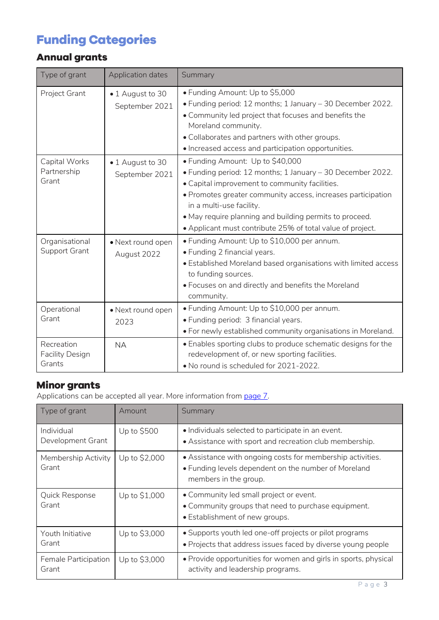# **Funding Categories**

# **Annual grants**

| Type of grant                                  | <b>Application dates</b>           | Summary                                                                                                                                                                                                                                                                                                                                                               |
|------------------------------------------------|------------------------------------|-----------------------------------------------------------------------------------------------------------------------------------------------------------------------------------------------------------------------------------------------------------------------------------------------------------------------------------------------------------------------|
| Project Grant                                  | • 1 August to 30<br>September 2021 | • Funding Amount: Up to \$5,000<br>• Funding period: 12 months; 1 January - 30 December 2022.<br>. Community led project that focuses and benefits the<br>Moreland community.<br>. Collaborates and partners with other groups.<br>· Increased access and participation opportunities.                                                                                |
| Capital Works<br>Partnership<br>Grant          | • 1 August to 30<br>September 2021 | • Funding Amount: Up to \$40,000<br>• Funding period: 12 months; 1 January - 30 December 2022.<br>. Capital improvement to community facilities.<br>· Promotes greater community access, increases participation<br>in a multi-use facility.<br>• May require planning and building permits to proceed.<br>• Applicant must contribute 25% of total value of project. |
| Organisational<br>Support Grant                | • Next round open<br>August 2022   | • Funding Amount: Up to \$10,000 per annum.<br>• Funding 2 financial years.<br>• Established Moreland based organisations with limited access<br>to funding sources.<br>• Focuses on and directly and benefits the Moreland<br>community.                                                                                                                             |
| Operational<br>Grant                           | • Next round open<br>2023          | • Funding Amount: Up to \$10,000 per annum.<br>• Funding period: 3 financial years.<br>. For newly established community organisations in Moreland.                                                                                                                                                                                                                   |
| Recreation<br><b>Facility Design</b><br>Grants | <b>NA</b>                          | • Enables sporting clubs to produce schematic designs for the<br>redevelopment of, or new sporting facilities.<br>. No round is scheduled for 2021-2022.                                                                                                                                                                                                              |

# **Minor grants**

Applications can be accepted all year. More information fro[m page 7.](#page-6-0)

| Type of grant                   | Amount        | Summary                                                                                                                                     |  |  |  |
|---------------------------------|---------------|---------------------------------------------------------------------------------------------------------------------------------------------|--|--|--|
| Individual<br>Development Grant | Up to \$500   | • Individuals selected to participate in an event.<br>• Assistance with sport and recreation club membership.                               |  |  |  |
| Membership Activity<br>Grant    | Up to \$2,000 | • Assistance with ongoing costs for membership activities.<br>• Funding levels dependent on the number of Moreland<br>members in the group. |  |  |  |
| Quick Response<br>Grant         | Up to \$1,000 | • Community led small project or event.<br>• Community groups that need to purchase equipment.<br>• Establishment of new groups.            |  |  |  |
| Youth Initiative<br>Grant       | Up to \$3,000 | • Supports youth led one-off projects or pilot programs<br>. Projects that address issues faced by diverse young people                     |  |  |  |
| Female Participation<br>Grant   | Up to \$3,000 | • Provide opportunities for women and girls in sports, physical<br>activity and leadership programs.                                        |  |  |  |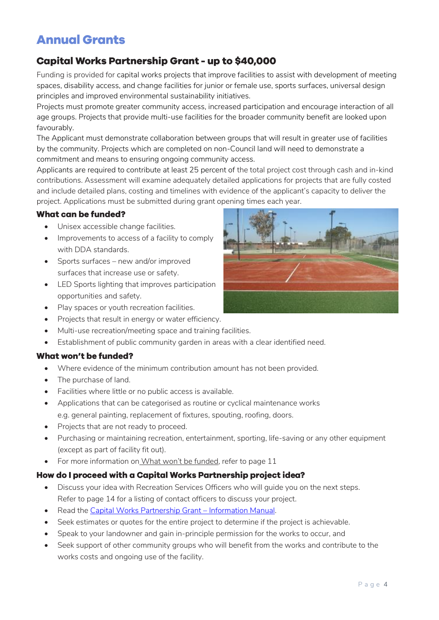# **Annual Grants**

### **Capital Works Partnership Grant - up to \$40,000**

Funding is provided for capital works projects that improve facilities to assist with development of meeting spaces, disability access, and change facilities for junior or female use, sports surfaces, universal design principles and improved environmental sustainability initiatives.

Projects must promote greater community access, increased participation and encourage interaction of all age groups. Projects that provide multi-use facilities for the broader community benefit are looked upon favourably.

The Applicant must demonstrate collaboration between groups that will result in greater use of facilities by the community. Projects which are completed on non-Council land will need to demonstrate a commitment and means to ensuring ongoing community access.

Applicants are required to contribute at least 25 percent of the total project cost through cash and in-kind contributions. Assessment will examine adequately detailed applications for projects that are fully costed and include detailed plans, costing and timelines with evidence of the applicant's capacity to deliver the project. Applications must be submitted during grant opening times each year.

#### **What can be funded?**

- Unisex accessible change facilities.
- Improvements to access of a facility to comply with DDA standards.
- Sports surfaces new and/or improved surfaces that increase use or safety.
- LED Sports lighting that improves participation opportunities and safety.
- Play spaces or youth recreation facilities.
- Projects that result in energy or water efficiency.
- Multi-use recreation/meeting space and training facilities.
- Establishment of public community garden in areas with a clear identified need.

#### What won't be funded?

- Where evidence of the minimum contribution amount has not been provided.
- The purchase of land.
- Facilities where little or no public access is available.
- Applications that can be categorised as routine or cyclical maintenance works e.g. general painting, replacement of fixtures, spouting, roofing, doors.
- Projects that are not ready to proceed.
- Purchasing or maintaining recreation, entertainment, sporting, life-saving or any other equipment (except as part of facility fit out).
- For more information on [What won't](#page-10-0) be funded, refer to page 11

#### How do I proceed with a Capital Works Partnership project idea?

- Discuss your idea with Recreation Services Officers who will guide you on the next steps. Refer to page 14 for a listing of contact officers to discuss your project.
- Read the [Capital Works Partnership Grant](https://www.moreland.vic.gov.au/globalassets/areas/recreation/capital-works-partnership-grant---applicant-information-manual.pdf)  Information Manual.
- Seek estimates or quotes for the entire project to determine if the project is achievable.
- Speak to your landowner and gain in-principle permission for the works to occur, and
- Seek support of other community groups who will benefit from the works and contribute to the works costs and ongoing use of the facility.

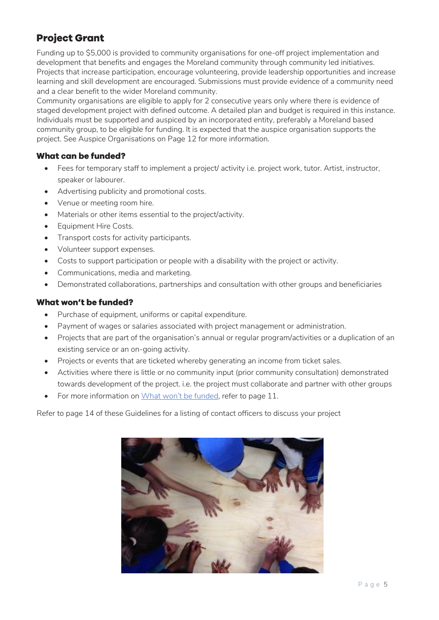### **Project Grant**

Funding up to \$5,000 is provided to community organisations for one-off project implementation and development that benefits and engages the Moreland community through community led initiatives. Projects that increase participation, encourage volunteering, provide leadership opportunities and increase learning and skill development are encouraged. Submissions must provide evidence of a community need and a clear benefit to the wider Moreland community.

Community organisations are eligible to apply for 2 consecutive years only where there is evidence of staged development project with defined outcome. A detailed plan and budget is required in this instance. Individuals must be supported and auspiced by an incorporated entity, preferably a Moreland based community group, to be eligible for funding. It is expected that the auspice organisation supports the project. See Auspice Organisations on Page 12 for more information.

#### **What can be funded?**

- Fees for temporary staff to implement a project/ activity i.e. project work, tutor. Artist, instructor, speaker or labourer.
- Advertising publicity and promotional costs.
- Venue or meeting room hire.
- Materials or other items essential to the project/activity.
- Equipment Hire Costs.
- Transport costs for activity participants.
- Volunteer support expenses.
- Costs to support participation or people with a disability with the project or activity.
- Communications, media and marketing.
- Demonstrated collaborations, partnerships and consultation with other groups and beneficiaries

#### What won't be funded?

- Purchase of equipment, uniforms or capital expenditure.
- Payment of wages or salaries associated with project management or administration.
- Projects that are part of the organisation's annual or regular program/activities or a duplication of an existing service or an on-going activity.
- Projects or events that are ticketed whereby generating an income from ticket sales.
- Activities where there is little or no community input (prior community consultation) demonstrated towards development of the project. i.e. the project must collaborate and partner with other groups
- For more information on [What won't](#page-10-0) be funded, refer to page 11.

Refer to page 14 of these Guidelines for a listing of contact officers to discuss your project

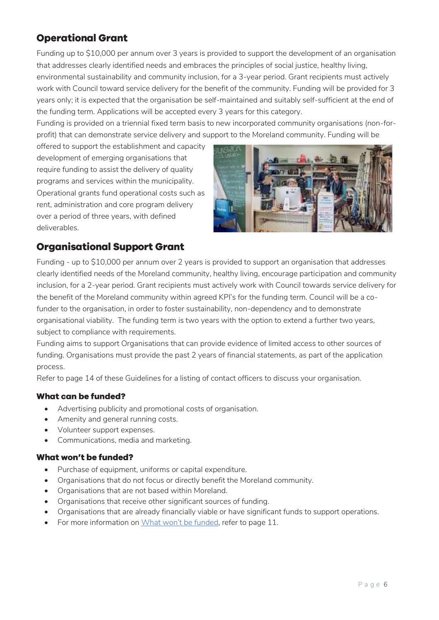### **Operational Grant**

Funding up to \$10,000 per annum over 3 years is provided to support the development of an organisation that addresses clearly identified needs and embraces the principles of social justice, healthy living, environmental sustainability and community inclusion, for a 3-year period. Grant recipients must actively work with Council toward service delivery for the benefit of the community. Funding will be provided for 3 years only; it is expected that the organisation be self-maintained and suitably self-sufficient at the end of the funding term. Applications will be accepted every 3 years for this category.

Funding is provided on a triennial fixed term basis to new incorporated community organisations (non-forprofit) that can demonstrate service delivery and support to the Moreland community. Funding will be

offered to support the establishment and capacity development of emerging organisations that require funding to assist the delivery of quality programs and services within the municipality. Operational grants fund operational costs such as rent, administration and core program delivery over a period of three years, with defined deliverables.



### **Organisational Support Grant**

Funding - up to \$10,000 per annum over 2 years is provided to support an organisation that addresses clearly identified needs of the Moreland community, healthy living, encourage participation and community inclusion, for a 2-year period. Grant recipients must actively work with Council towards service delivery for the benefit of the Moreland community within agreed KPI's for the funding term. Council will be a cofunder to the organisation, in order to foster sustainability, non-dependency and to demonstrate organisational viability. The funding term is two years with the option to extend a further two years, subject to compliance with requirements.

Funding aims to support Organisations that can provide evidence of limited access to other sources of funding. Organisations must provide the past 2 years of financial statements, as part of the application process.

Refer to page 14 of these Guidelines for a listing of contact officers to discuss your organisation.

#### **What can be funded?**

- Advertising publicity and promotional costs of organisation.
- Amenity and general running costs.
- Volunteer support expenses.
- Communications, media and marketing.

#### What won't be funded?

- Purchase of equipment, uniforms or capital expenditure.
- Organisations that do not focus or directly benefit the Moreland community.
- Organisations that are not based within Moreland.
- Organisations that receive other significant sources of funding.
- Organisations that are already financially viable or have significant funds to support operations.
- For more information on [What won't](#page-10-0) be funded, refer to page 11.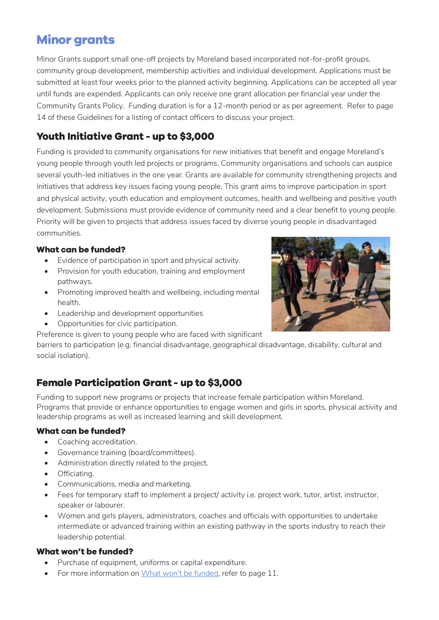# <span id="page-6-0"></span>**Minor grants**

Minor Grants support small one-off projects by Moreland based incorporated not-for-profit groups, community group development, membership activities and individual development. Applications must be submitted at least four weeks prior to the planned activity beginning. Applications can be accepted all year until funds are expended. Applicants can only receive one grant allocation per financial year under the Community Grants Policy. Funding duration is for a 12-month period or as per agreement. Refer to page 14 of these Guidelines for a listing of contact officers to discuss your project.

### **Youth Initiative Grant - up to \$3,000**

Funding is provided to community organisations for new initiatives that benefit and engage Moreland's young people through youth led projects or programs. Community organisations and schools can auspice several youth-led initiatives in the one year. Grants are available for community strengthening projects and initiatives that address key issues facing young people. This grant aims to improve participation in sport and physical activity, youth education and employment outcomes, health and wellbeing and positive youth development. Submissions must provide evidence of community need and a clear benefit to young people. Priority will be given to projects that address issues faced by diverse young people in disadvantaged communities.

#### What can be funded?

- Evidence of participation in sport and physical activity.
- Provision for youth education, training and employment pathways.
- Promoting improved health and wellbeing, including mental health.
- Leadership and development opportunities
- Opportunities for civic participation.
- Preference is given to young people who are faced with significant

barriers to participation (e.g. financial disadvantage, geographical disadvantage, disability, cultural and social isolation).

### **Female Participation Grant - up to \$3,000**

Funding to support new programs or projects that increase female participation within Moreland. Programs that provide or enhance opportunities to engage women and girls in sports, physical activity and leadership programs as well as increased learning and skill development.

#### **What can be funded?**

- Coaching accreditation.
- Governance training (board/committees).
- Administration directly related to the project.
- Officiating.
- Communications, media and marketing.
- Fees for temporary staff to implement a project/ activity i.e. project work, tutor, artist, instructor, speaker or labourer.
- Women and girls players, administrators, coaches and officials with opportunities to undertake intermediate or advanced training within an existing pathway in the sports industry to reach their leadership potential.

#### **What won't be funded?**

- Purchase of equipment, uniforms or capital expenditure.
- For more information on [What won't](#page-10-0) be funded, refer to page 11.

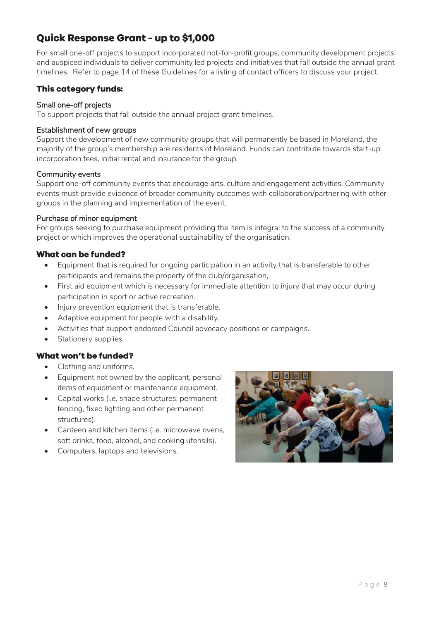### **Quick Response Grant - up to \$1,000**

For small one-off projects to support incorporated not-for-profit groups, community development projects and auspiced individuals to deliver community led projects and initiatives that fall outside the annual grant timelines. Refer to page 14 of these Guidelines for a listing of contact officers to discuss your project.

#### **This category funds:**

#### Small one-off projects

To support projects that fall outside the annual project grant timelines.

#### Establishment of new groups

Support the development of new community groups that will permanently be based in Moreland, the majority of the group's membership are residents of Moreland. Funds can contribute towards start-up incorporation fees, initial rental and insurance for the group.

#### Community events

Support one-off community events that encourage arts, culture and engagement activities. Community events must provide evidence of broader community outcomes with collaboration/partnering with other groups in the planning and implementation of the event.

#### Purchase of minor equipment

For groups seeking to purchase equipment providing the item is integral to the success of a community project or which improves the operational sustainability of the organisation.

#### **What can be funded?**

- Equipment that is required for ongoing participation in an activity that is transferable to other participants and remains the property of the club/organisation,
- First aid equipment which is necessary for immediate attention to injury that may occur during participation in sport or active recreation.
- Injury prevention equipment that is transferable.
- Adaptive equipment for people with a disability.
- Activities that support endorsed Council advocacy positions or campaigns.
- Stationery supplies.

#### **What won't be funded?**

- Clothing and uniforms.
- Equipment not owned by the applicant, personal items of equipment or maintenance equipment.
- Capital works (i.e. shade structures, permanent fencing, fixed lighting and other permanent structures).
- Canteen and kitchen items (i.e. microwave ovens, soft drinks, food, alcohol, and cooking utensils).
- Computers, laptops and televisions.

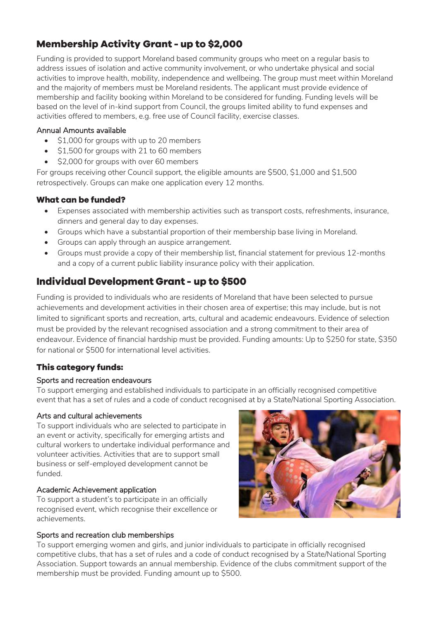### **Membership Activity Grant - up to \$2,000**

Funding is provided to support Moreland based community groups who meet on a regular basis to address issues of isolation and active community involvement, or who undertake physical and social activities to improve health, mobility, independence and wellbeing. The group must meet within Moreland and the majority of members must be Moreland residents. The applicant must provide evidence of membership and facility booking within Moreland to be considered for funding. Funding levels will be based on the level of in-kind support from Council, the groups limited ability to fund expenses and activities offered to members, e.g. free use of Council facility, exercise classes.

#### Annual Amounts available

- \$1,000 for groups with up to 20 members
- \$1,500 for groups with 21 to 60 members
- \$2,000 for groups with over 60 members

For groups receiving other Council support, the eligible amounts are \$500, \$1,000 and \$1,500 retrospectively. Groups can make one application every 12 months.

#### What can be funded?

- Expenses associated with membership activities such as transport costs, refreshments, insurance, dinners and general day to day expenses.
- Groups which have a substantial proportion of their membership base living in Moreland.
- Groups can apply through an auspice arrangement.
- Groups must provide a copy of their membership list, financial statement for previous 12-months and a copy of a current public liability insurance policy with their application.

### Individual Development Grant - up to \$500

Funding is provided to individuals who are residents of Moreland that have been selected to pursue achievements and development activities in their chosen area of expertise; this may include, but is not limited to significant sports and recreation, arts, cultural and academic endeavours. Evidence of selection must be provided by the relevant recognised association and a strong commitment to their area of endeavour. Evidence of financial hardship must be provided. Funding amounts: Up to \$250 for state, \$350 for national or \$500 for international level activities.

#### **This category funds:**

#### Sports and recreation endeavours

To support emerging and established individuals to participate in an officially recognised competitive event that has a set of rules and a code of conduct recognised at by a State/National Sporting Association.

#### Arts and cultural achievements

To support individuals who are selected to participate in an event or activity, specifically for emerging artists and cultural workers to undertake individual performance and volunteer activities. Activities that are to support small business or self-employed development cannot be funded.

#### Academic Achievement application

To support a student's to participate in an officially recognised event, which recognise their excellence or achievements.

#### Sports and recreation club memberships

To support emerging women and girls, and junior individuals to participate in officially recognised competitive clubs, that has a set of rules and a code of conduct recognised by a State/National Sporting Association. Support towards an annual membership. Evidence of the clubs commitment support of the membership must be provided. Funding amount up to \$500.

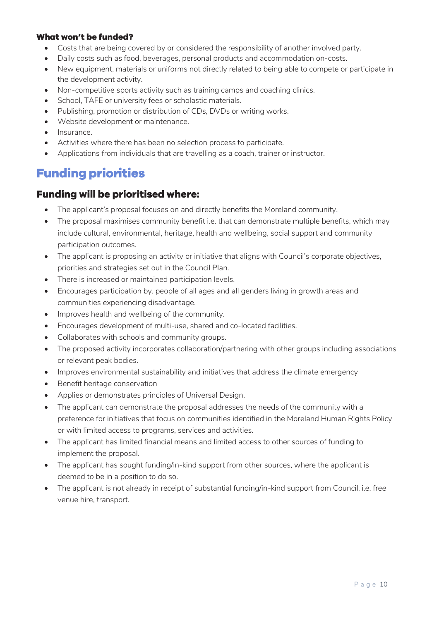#### **What won't be funded?**

- Costs that are being covered by or considered the responsibility of another involved party.
- Daily costs such as food, beverages, personal products and accommodation on-costs.
- New equipment, materials or uniforms not directly related to being able to compete or participate in the development activity.
- Non-competitive sports activity such as training camps and coaching clinics.
- School, TAFE or university fees or scholastic materials.
- Publishing, promotion or distribution of CDs, DVDs or writing works.
- Website development or maintenance.
- Insurance.
- Activities where there has been no selection process to participate.
- Applications from individuals that are travelling as a coach, trainer or instructor.

# **Funding priorities**

#### **Funding will be prioritised where:**

- The applicant's proposal focuses on and directly benefits the Moreland community.
- The proposal maximises community benefit i.e. that can demonstrate multiple benefits, which may include cultural, environmental, heritage, health and wellbeing, social support and community participation outcomes.
- The applicant is proposing an activity or initiative that aligns with Council's corporate objectives, priorities and strategies set out in the Council Plan.
- There is increased or maintained participation levels.
- Encourages participation by, people of all ages and all genders living in growth areas and communities experiencing disadvantage.
- Improves health and wellbeing of the community.
- Encourages development of multi-use, shared and co-located facilities.
- Collaborates with schools and community groups.
- The proposed activity incorporates collaboration/partnering with other groups including associations or relevant peak bodies.
- Improves environmental sustainability and initiatives that address the climate emergency
- Benefit heritage conservation
- Applies or demonstrates principles of Universal Design.
- The applicant can demonstrate the proposal addresses the needs of the community with a preference for initiatives that focus on communities identified in the Moreland Human Rights Policy or with limited access to programs, services and activities.
- The applicant has limited financial means and limited access to other sources of funding to implement the proposal.
- The applicant has sought funding/in-kind support from other sources, where the applicant is deemed to be in a position to do so.
- The applicant is not already in receipt of substantial funding/in-kind support from Council. i.e. free venue hire, transport.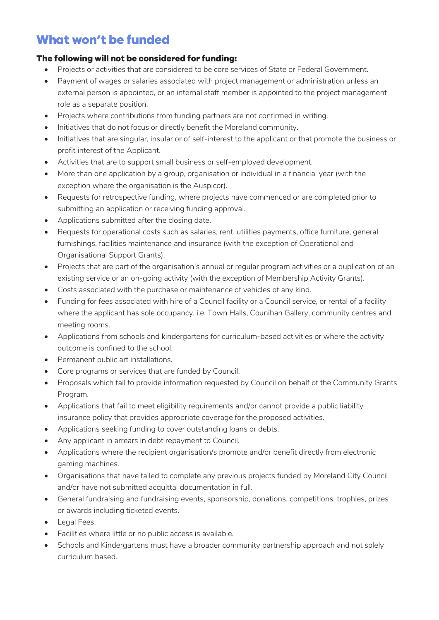# <span id="page-10-0"></span>**What won't be funded**

#### The following will not be considered for funding:

- Projects or activities that are considered to be core services of State or Federal Government.
- Payment of wages or salaries associated with project management or administration unless an external person is appointed, or an internal staff member is appointed to the project management role as a separate position.
- Projects where contributions from funding partners are not confirmed in writing.
- Initiatives that do not focus or directly benefit the Moreland community.
- Initiatives that are singular, insular or of self-interest to the applicant or that promote the business or profit interest of the Applicant.
- Activities that are to support small business or self-employed development.
- More than one application by a group, organisation or individual in a financial year (with the exception where the organisation is the Auspicor).
- Requests for retrospective funding, where projects have commenced or are completed prior to submitting an application or receiving funding approval.
- Applications submitted after the closing date.
- Requests for operational costs such as salaries, rent, utilities payments, office furniture, general furnishings, facilities maintenance and insurance (with the exception of Operational and Organisational Support Grants).
- Projects that are part of the organisation's annual or regular program activities or a duplication of an existing service or an on-going activity (with the exception of Membership Activity Grants).
- Costs associated with the purchase or maintenance of vehicles of any kind.
- Funding for fees associated with hire of a Council facility or a Council service, or rental of a facility where the applicant has sole occupancy, i.e. Town Halls, Counihan Gallery, community centres and meeting rooms.
- Applications from schools and kindergartens for curriculum-based activities or where the activity outcome is confined to the school.
- Permanent public art installations.
- Core programs or services that are funded by Council.
- Proposals which fail to provide information requested by Council on behalf of the Community Grants Program.
- Applications that fail to meet eligibility requirements and/or cannot provide a public liability insurance policy that provides appropriate coverage for the proposed activities.
- Applications seeking funding to cover outstanding loans or debts.
- Any applicant in arrears in debt repayment to Council.
- Applications where the recipient organisation/s promote and/or benefit directly from electronic gaming machines.
- Organisations that have failed to complete any previous projects funded by Moreland City Council and/or have not submitted acquittal documentation in full.
- General fundraising and fundraising events, sponsorship, donations, competitions, trophies, prizes or awards including ticketed events.
- Legal Fees.
- Facilities where little or no public access is available.
- Schools and Kindergartens must have a broader community partnership approach and not solely curriculum based.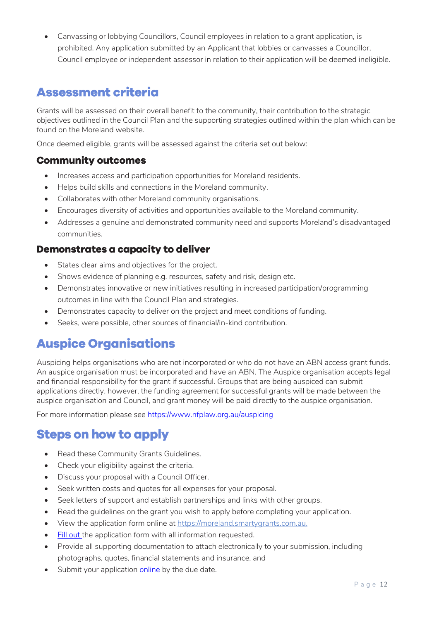• Canvassing or lobbying Councillors, Council employees in relation to a grant application, is prohibited. Any application submitted by an Applicant that lobbies or canvasses a Councillor, Council employee or independent assessor in relation to their application will be deemed ineligible.

# **Assessment criteria**

Grants will be assessed on their overall benefit to the community, their contribution to the strategic objectives outlined in the Council Plan and the supporting strategies outlined within the plan which can be found on the Moreland website.

Once deemed eligible, grants will be assessed against the criteria set out below:

#### **Community outcomes**

- Increases access and participation opportunities for Moreland residents.
- Helps build skills and connections in the Moreland community.
- Collaborates with other Moreland community organisations.
- Encourages diversity of activities and opportunities available to the Moreland community.
- Addresses a genuine and demonstrated community need and supports Moreland's disadvantaged communities.

#### Demonstrates a capacity to deliver

- States clear aims and objectives for the project.
- Shows evidence of planning e.g. resources, safety and risk, design etc.
- Demonstrates innovative or new initiatives resulting in increased participation/programming outcomes in line with the Council Plan and strategies.
- Demonstrates capacity to deliver on the project and meet conditions of funding.
- Seeks, were possible, other sources of financial/in-kind contribution.

# **Auspice Organisations**

Auspicing helps organisations who are not incorporated or who do not have an ABN access grant funds. An auspice organisation must be incorporated and have an ABN. The Auspice organisation accepts legal and financial responsibility for the grant if successful. Groups that are being auspiced can submit applications directly, however, the funding agreement for successful grants will be made between the auspice organisation and Council, and grant money will be paid directly to the auspice organisation.

For more information please see<https://www.nfplaw.org.au/auspicing>

### **Steps on how to apply**

- Read these Community Grants Guidelines.
- Check your eligibility against the criteria.
- Discuss your proposal with a Council Officer.
- Seek written costs and quotes for all expenses for your proposal.
- Seek letters of support and establish partnerships and links with other groups.
- Read the quidelines on the grant you wish to apply before completing your application.
- View the application form online a[t https://moreland.smartygrants.com.au.](https://moreland.smartygrants.com.au/)
- [Fill out t](https://moreland.smartygrants.com.au/applicant/login)he application form with all information requested.
- Provide all supporting documentation to attach electronically to your submission, including photographs, quotes, financial statements and insurance, and
- Submit your application [online](https://moreland.smartygrants.com.au/applicant/login) by the due date.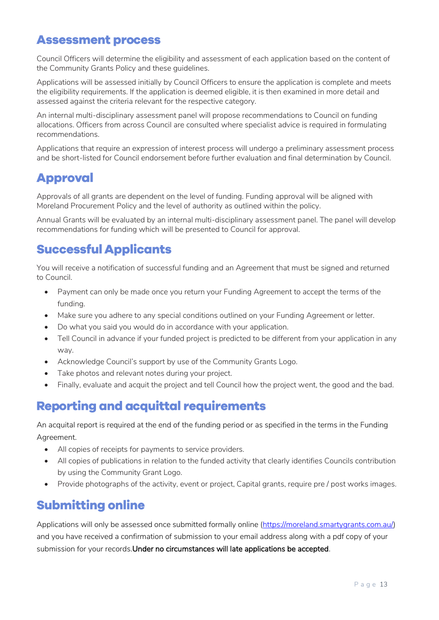# **Assessment process**

Council Officers will determine the eligibility and assessment of each application based on the content of the Community Grants Policy and these guidelines.

Applications will be assessed initially by Council Officers to ensure the application is complete and meets the eligibility requirements. If the application is deemed eligible, it is then examined in more detail and assessed against the criteria relevant for the respective category.

An internal multi-disciplinary assessment panel will propose recommendations to Council on funding allocations. Officers from across Council are consulted where specialist advice is required in formulating recommendations.

Applications that require an expression of interest process will undergo a preliminary assessment process and be short-listed for Council endorsement before further evaluation and final determination by Council.

# **Approval**

Approvals of all grants are dependent on the level of funding. Funding approval will be aligned with Moreland Procurement Policy and the level of authority as outlined within the policy.

Annual Grants will be evaluated by an internal multi-disciplinary assessment panel. The panel will develop recommendations for funding which will be presented to Council for approval.

# **Successful Applicants**

You will receive a notification of successful funding and an Agreement that must be signed and returned to Council.

- Payment can only be made once you return your Funding Agreement to accept the terms of the funding.
- Make sure you adhere to any special conditions outlined on your Funding Agreement or letter.
- Do what you said you would do in accordance with your application.
- Tell Council in advance if your funded project is predicted to be different from your application in any way.
- Acknowledge Council's support by use of the Community Grants Logo.
- Take photos and relevant notes during your project.
- Finally, evaluate and acquit the project and tell Council how the project went, the good and the bad.

# **Reporting and acquittal requirements**

An acquital report is required at the end of the funding period or as specified in the terms in the Funding Agreement.

- All copies of receipts for payments to service providers.
- All copies of publications in relation to the funded activity that clearly identifies Councils contribution by using the Community Grant Logo.
- Provide photographs of the activity, event or project, Capital grants, require pre / post works images.

# **Submitting online**

Applications will only be assessed once submitted formally online [\(https://moreland.smartygrants.com.au/\)](https://moreland.smartygrants.com.au/) and you have received a confirmation of submission to your email address along with a pdf copy of your submission for your records.Under no circumstances will late applications be accepted.